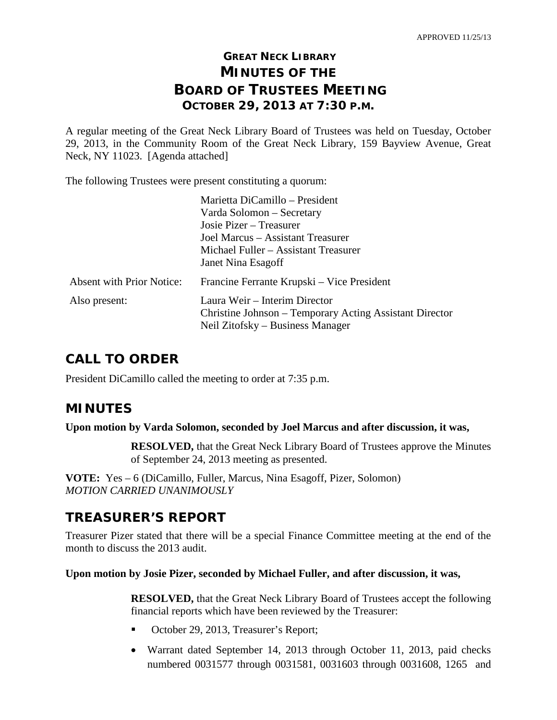# **GREAT NECK LIBRARY MINUTES OF THE BOARD OF TRUSTEES MEETING OCTOBER 29, 2013 AT 7:30 P.M.**

A regular meeting of the Great Neck Library Board of Trustees was held on Tuesday, October 29, 2013, in the Community Room of the Great Neck Library, 159 Bayview Avenue, Great Neck, NY 11023. [Agenda attached]

The following Trustees were present constituting a quorum:

|                                  | Marietta DiCamillo - President                                                           |  |
|----------------------------------|------------------------------------------------------------------------------------------|--|
|                                  | Varda Solomon – Secretary                                                                |  |
|                                  | Josie Pizer – Treasurer                                                                  |  |
|                                  | Joel Marcus – Assistant Treasurer                                                        |  |
|                                  | Michael Fuller – Assistant Treasurer                                                     |  |
|                                  | Janet Nina Esagoff                                                                       |  |
| <b>Absent with Prior Notice:</b> | Francine Ferrante Krupski – Vice President                                               |  |
| Also present:                    | Laura Weir – Interim Director<br>Christine Johnson – Temporary Acting Assistant Director |  |
|                                  | Neil Zitofsky – Business Manager                                                         |  |

# **CALL TO ORDER**

President DiCamillo called the meeting to order at 7:35 p.m.

# **MINUTES**

**Upon motion by Varda Solomon, seconded by Joel Marcus and after discussion, it was,**

**RESOLVED,** that the Great Neck Library Board of Trustees approve the Minutes of September 24, 2013 meeting as presented.

**VOTE:** Yes – 6 (DiCamillo, Fuller, Marcus, Nina Esagoff, Pizer, Solomon) *MOTION CARRIED UNANIMOUSLY*

# **TREASURER'S REPORT**

Treasurer Pizer stated that there will be a special Finance Committee meeting at the end of the month to discuss the 2013 audit.

### **Upon motion by Josie Pizer, seconded by Michael Fuller, and after discussion, it was,**

**RESOLVED,** that the Great Neck Library Board of Trustees accept the following financial reports which have been reviewed by the Treasurer:

- October 29, 2013, Treasurer's Report;
- Warrant dated September 14, 2013 through October 11, 2013, paid checks numbered 0031577 through 0031581, 0031603 through 0031608, 1265 and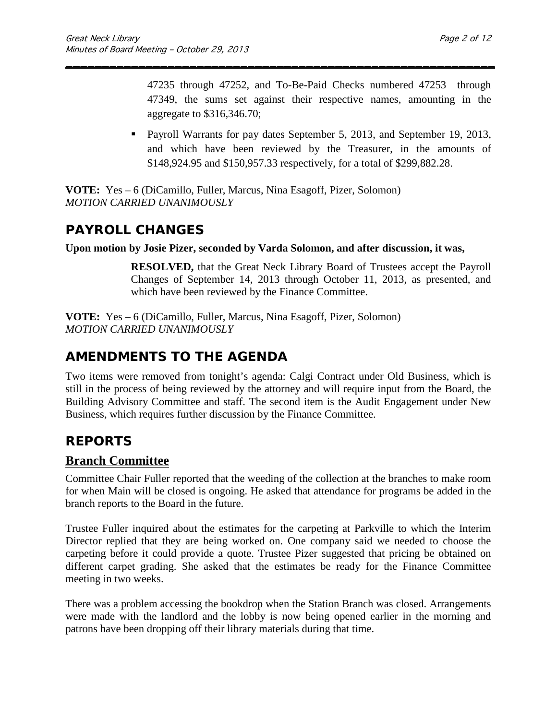47235 through 47252, and To-Be-Paid Checks numbered 47253 through 47349, the sums set against their respective names, amounting in the aggregate to \$316,346.70;

\_\_\_\_\_\_\_\_\_\_\_\_\_\_\_\_\_\_\_\_\_\_\_\_\_\_\_\_\_\_\_\_\_\_\_\_\_\_\_\_\_\_\_\_\_\_\_\_\_\_\_\_\_\_\_\_\_\_\_

**Payroll Warrants for pay dates September 5, 2013, and September 19, 2013,** and which have been reviewed by the Treasurer, in the amounts of \$148,924.95 and \$150,957.33 respectively, for a total of \$299,882.28.

**VOTE:** Yes – 6 (DiCamillo, Fuller, Marcus, Nina Esagoff, Pizer, Solomon) *MOTION CARRIED UNANIMOUSLY*

# **PAYROLL CHANGES**

### **Upon motion by Josie Pizer, seconded by Varda Solomon, and after discussion, it was,**

**RESOLVED,** that the Great Neck Library Board of Trustees accept the Payroll Changes of September 14, 2013 through October 11, 2013, as presented, and which have been reviewed by the Finance Committee.

**VOTE:** Yes – 6 (DiCamillo, Fuller, Marcus, Nina Esagoff, Pizer, Solomon) *MOTION CARRIED UNANIMOUSLY*

# **AMENDMENTS TO THE AGENDA**

Two items were removed from tonight's agenda: Calgi Contract under Old Business, which is still in the process of being reviewed by the attorney and will require input from the Board, the Building Advisory Committee and staff. The second item is the Audit Engagement under New Business, which requires further discussion by the Finance Committee.

# **REPORTS**

# **Branch Committee**

Committee Chair Fuller reported that the weeding of the collection at the branches to make room for when Main will be closed is ongoing. He asked that attendance for programs be added in the branch reports to the Board in the future.

Trustee Fuller inquired about the estimates for the carpeting at Parkville to which the Interim Director replied that they are being worked on. One company said we needed to choose the carpeting before it could provide a quote. Trustee Pizer suggested that pricing be obtained on different carpet grading. She asked that the estimates be ready for the Finance Committee meeting in two weeks.

There was a problem accessing the bookdrop when the Station Branch was closed. Arrangements were made with the landlord and the lobby is now being opened earlier in the morning and patrons have been dropping off their library materials during that time.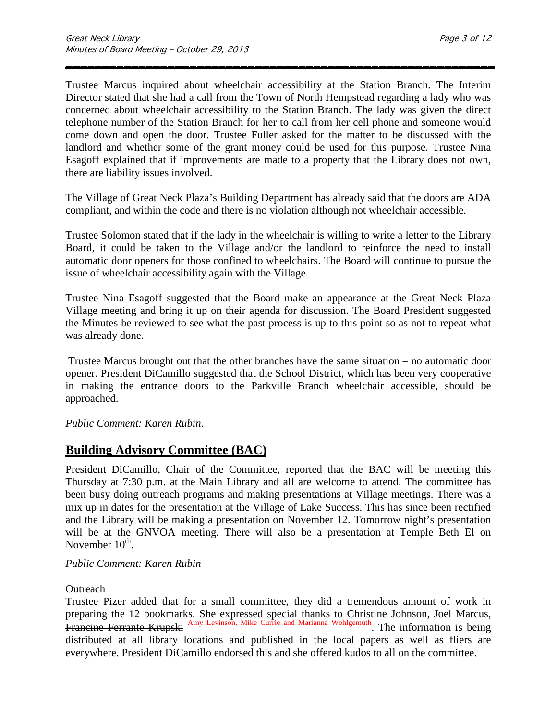Trustee Marcus inquired about wheelchair accessibility at the Station Branch. The Interim Director stated that she had a call from the Town of North Hempstead regarding a lady who was concerned about wheelchair accessibility to the Station Branch. The lady was given the direct telephone number of the Station Branch for her to call from her cell phone and someone would come down and open the door. Trustee Fuller asked for the matter to be discussed with the landlord and whether some of the grant money could be used for this purpose. Trustee Nina Esagoff explained that if improvements are made to a property that the Library does not own, there are liability issues involved.

\_\_\_\_\_\_\_\_\_\_\_\_\_\_\_\_\_\_\_\_\_\_\_\_\_\_\_\_\_\_\_\_\_\_\_\_\_\_\_\_\_\_\_\_\_\_\_\_\_\_\_\_\_\_\_\_\_\_\_

The Village of Great Neck Plaza's Building Department has already said that the doors are ADA compliant, and within the code and there is no violation although not wheelchair accessible.

Trustee Solomon stated that if the lady in the wheelchair is willing to write a letter to the Library Board, it could be taken to the Village and/or the landlord to reinforce the need to install automatic door openers for those confined to wheelchairs. The Board will continue to pursue the issue of wheelchair accessibility again with the Village.

Trustee Nina Esagoff suggested that the Board make an appearance at the Great Neck Plaza Village meeting and bring it up on their agenda for discussion. The Board President suggested the Minutes be reviewed to see what the past process is up to this point so as not to repeat what was already done.

Trustee Marcus brought out that the other branches have the same situation – no automatic door opener. President DiCamillo suggested that the School District, which has been very cooperative in making the entrance doors to the Parkville Branch wheelchair accessible, should be approached.

### *Public Comment: Karen Rubin*.

# **Building Advisory Committee (BAC)**

President DiCamillo, Chair of the Committee, reported that the BAC will be meeting this Thursday at 7:30 p.m. at the Main Library and all are welcome to attend. The committee has been busy doing outreach programs and making presentations at Village meetings. There was a mix up in dates for the presentation at the Village of Lake Success. This has since been rectified and the Library will be making a presentation on November 12. Tomorrow night's presentation will be at the GNVOA meeting. There will also be a presentation at Temple Beth El on November 10<sup>th</sup>.

### *Public Comment: Karen Rubin*

### **Outreach**

Trustee Pizer added that for a small committee, they did a tremendous amount of work in preparing the 12 bookmarks. She expressed special thanks to Christine Johnson, Joel Marcus, Francine Ferrante Krupski Amy Levinson, Mike Currie and Marianna Wohlgemuth. The information is being distributed at all library locations and published in the local papers as well as fliers are everywhere. President DiCamillo endorsed this and she offered kudos to all on the committee.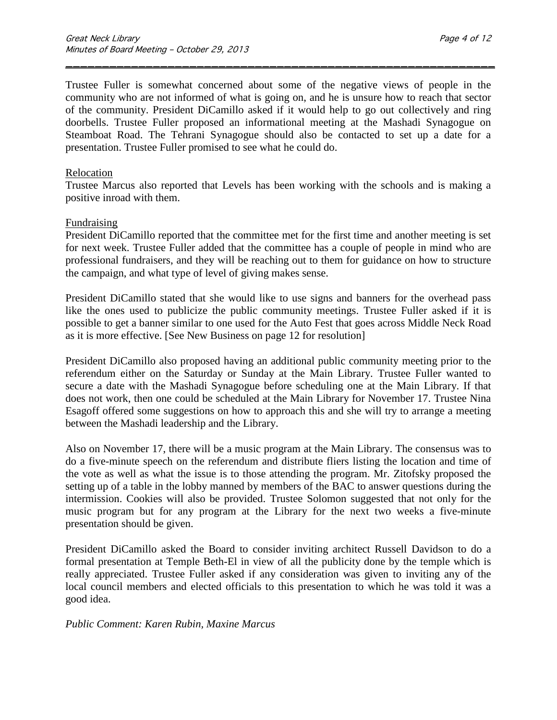Trustee Fuller is somewhat concerned about some of the negative views of people in the community who are not informed of what is going on, and he is unsure how to reach that sector of the community. President DiCamillo asked if it would help to go out collectively and ring doorbells. Trustee Fuller proposed an informational meeting at the Mashadi Synagogue on Steamboat Road. The Tehrani Synagogue should also be contacted to set up a date for a presentation. Trustee Fuller promised to see what he could do.

\_\_\_\_\_\_\_\_\_\_\_\_\_\_\_\_\_\_\_\_\_\_\_\_\_\_\_\_\_\_\_\_\_\_\_\_\_\_\_\_\_\_\_\_\_\_\_\_\_\_\_\_\_\_\_\_\_\_\_

### Relocation

Trustee Marcus also reported that Levels has been working with the schools and is making a positive inroad with them.

### Fundraising

President DiCamillo reported that the committee met for the first time and another meeting is set for next week. Trustee Fuller added that the committee has a couple of people in mind who are professional fundraisers, and they will be reaching out to them for guidance on how to structure the campaign, and what type of level of giving makes sense.

President DiCamillo stated that she would like to use signs and banners for the overhead pass like the ones used to publicize the public community meetings. Trustee Fuller asked if it is possible to get a banner similar to one used for the Auto Fest that goes across Middle Neck Road as it is more effective. [See New Business on page 12 for resolution]

President DiCamillo also proposed having an additional public community meeting prior to the referendum either on the Saturday or Sunday at the Main Library. Trustee Fuller wanted to secure a date with the Mashadi Synagogue before scheduling one at the Main Library. If that does not work, then one could be scheduled at the Main Library for November 17. Trustee Nina Esagoff offered some suggestions on how to approach this and she will try to arrange a meeting between the Mashadi leadership and the Library.

Also on November 17, there will be a music program at the Main Library. The consensus was to do a five-minute speech on the referendum and distribute fliers listing the location and time of the vote as well as what the issue is to those attending the program. Mr. Zitofsky proposed the setting up of a table in the lobby manned by members of the BAC to answer questions during the intermission. Cookies will also be provided. Trustee Solomon suggested that not only for the music program but for any program at the Library for the next two weeks a five-minute presentation should be given.

President DiCamillo asked the Board to consider inviting architect Russell Davidson to do a formal presentation at Temple Beth-El in view of all the publicity done by the temple which is really appreciated. Trustee Fuller asked if any consideration was given to inviting any of the local council members and elected officials to this presentation to which he was told it was a good idea.

#### *Public Comment: Karen Rubin, Maxine Marcus*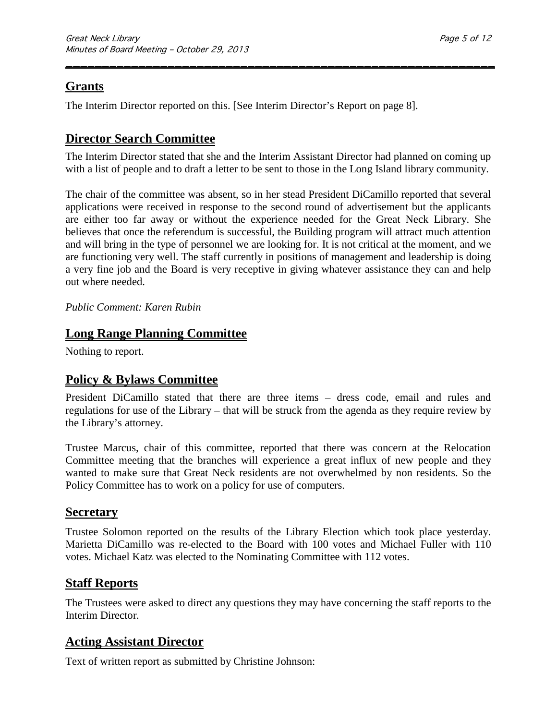# **Grants**

The Interim Director reported on this. [See Interim Director's Report on page 8].

# **Director Search Committee**

The Interim Director stated that she and the Interim Assistant Director had planned on coming up with a list of people and to draft a letter to be sent to those in the Long Island library community.

\_\_\_\_\_\_\_\_\_\_\_\_\_\_\_\_\_\_\_\_\_\_\_\_\_\_\_\_\_\_\_\_\_\_\_\_\_\_\_\_\_\_\_\_\_\_\_\_\_\_\_\_\_\_\_\_\_\_\_

The chair of the committee was absent, so in her stead President DiCamillo reported that several applications were received in response to the second round of advertisement but the applicants are either too far away or without the experience needed for the Great Neck Library. She believes that once the referendum is successful, the Building program will attract much attention and will bring in the type of personnel we are looking for. It is not critical at the moment, and we are functioning very well. The staff currently in positions of management and leadership is doing a very fine job and the Board is very receptive in giving whatever assistance they can and help out where needed.

### *Public Comment: Karen Rubin*

# **Long Range Planning Committee**

Nothing to report.

# **Policy & Bylaws Committee**

President DiCamillo stated that there are three items – dress code, email and rules and regulations for use of the Library – that will be struck from the agenda as they require review by the Library's attorney.

Trustee Marcus, chair of this committee, reported that there was concern at the Relocation Committee meeting that the branches will experience a great influx of new people and they wanted to make sure that Great Neck residents are not overwhelmed by non residents. So the Policy Committee has to work on a policy for use of computers.

## **Secretary**

Trustee Solomon reported on the results of the Library Election which took place yesterday. Marietta DiCamillo was re-elected to the Board with 100 votes and Michael Fuller with 110 votes. Michael Katz was elected to the Nominating Committee with 112 votes.

## **Staff Reports**

The Trustees were asked to direct any questions they may have concerning the staff reports to the Interim Director*.* 

# **Acting Assistant Director**

Text of written report as submitted by Christine Johnson: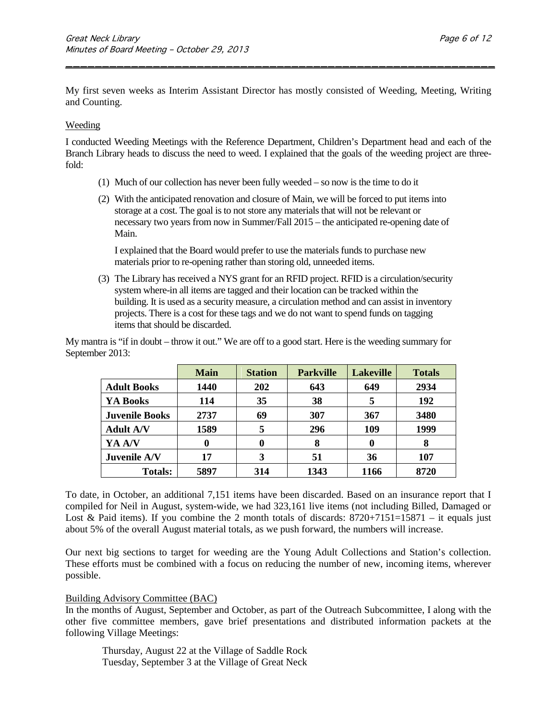My first seven weeks as Interim Assistant Director has mostly consisted of Weeding, Meeting, Writing and Counting.

\_\_\_\_\_\_\_\_\_\_\_\_\_\_\_\_\_\_\_\_\_\_\_\_\_\_\_\_\_\_\_\_\_\_\_\_\_\_\_\_\_\_\_\_\_\_\_\_\_\_\_\_\_\_\_\_\_\_\_

#### Weeding

I conducted Weeding Meetings with the Reference Department, Children's Department head and each of the Branch Library heads to discuss the need to weed. I explained that the goals of the weeding project are threefold:

- (1) Much of our collection has never been fully weeded so now is the time to do it
- (2) With the anticipated renovation and closure of Main, we will be forced to put items into storage at a cost. The goal is to not store any materials that will not be relevant or necessary two years from now in Summer/Fall 2015 – the anticipated re-opening date of Main.

I explained that the Board would prefer to use the materials funds to purchase new materials prior to re-opening rather than storing old, unneeded items.

(3) The Library has received a NYS grant for an RFID project. RFID is a circulation/security system where-in all items are tagged and their location can be tracked within the building. It is used as a security measure, a circulation method and can assist in inventory projects. There is a cost for these tags and we do not want to spend funds on tagging items that should be discarded.

My mantra is "if in doubt – throw it out." We are off to a good start. Here is the weeding summary for September 2013:

|                       | <b>Main</b> | <b>Station</b> | <b>Parkville</b> | <b>Lakeville</b> | <b>Totals</b> |
|-----------------------|-------------|----------------|------------------|------------------|---------------|
| <b>Adult Books</b>    | 1440        | 202            | 643              | 649              | 2934          |
| YA Books              | 114         | 35             | 38               |                  | 192           |
| <b>Juvenile Books</b> | 2737        | 69             | 307              | 367              | 3480          |
| <b>Adult A/V</b>      | 1589        | 5              | 296              | 109              | 1999          |
| YA A/V                | 0           | 0              | 8                |                  | 8             |
| Juvenile A/V          | 17          | 3              | 51               | 36               | 107           |
| <b>Totals:</b>        | 5897        | 314            | 1343             | 1166             | 8720          |

To date, in October, an additional 7,151 items have been discarded. Based on an insurance report that I compiled for Neil in August, system-wide, we had 323,161 live items (not including Billed, Damaged or Lost & Paid items). If you combine the 2 month totals of discards:  $8720+7151=15871$  – it equals just about 5% of the overall August material totals, as we push forward, the numbers will increase.

Our next big sections to target for weeding are the Young Adult Collections and Station's collection. These efforts must be combined with a focus on reducing the number of new, incoming items, wherever possible.

#### Building Advisory Committee (BAC)

In the months of August, September and October, as part of the Outreach Subcommittee, I along with the other five committee members, gave brief presentations and distributed information packets at the following Village Meetings:

Thursday, August 22 at the Village of Saddle Rock Tuesday, September 3 at the Village of Great Neck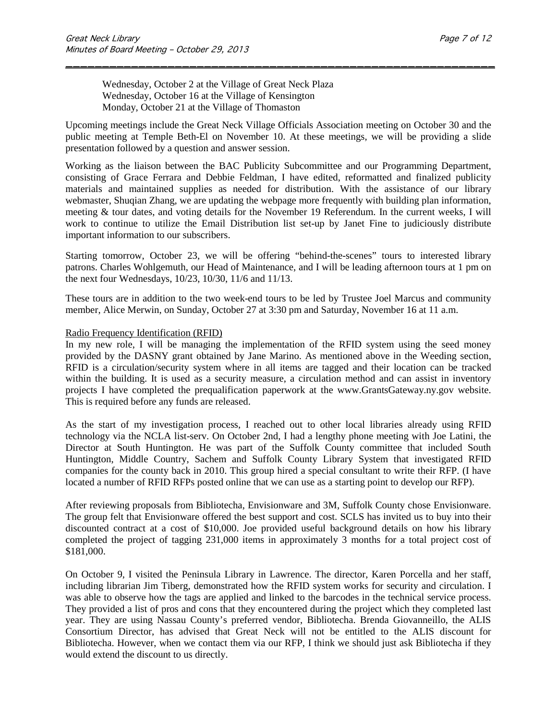Wednesday, October 2 at the Village of Great Neck Plaza Wednesday, October 16 at the Village of Kensington Monday, October 21 at the Village of Thomaston

Upcoming meetings include the Great Neck Village Officials Association meeting on October 30 and the public meeting at Temple Beth-El on November 10. At these meetings, we will be providing a slide presentation followed by a question and answer session.

\_\_\_\_\_\_\_\_\_\_\_\_\_\_\_\_\_\_\_\_\_\_\_\_\_\_\_\_\_\_\_\_\_\_\_\_\_\_\_\_\_\_\_\_\_\_\_\_\_\_\_\_\_\_\_\_\_\_\_

Working as the liaison between the BAC Publicity Subcommittee and our Programming Department, consisting of Grace Ferrara and Debbie Feldman, I have edited, reformatted and finalized publicity materials and maintained supplies as needed for distribution. With the assistance of our library webmaster, Shuqian Zhang, we are updating the webpage more frequently with building plan information, meeting & tour dates, and voting details for the November 19 Referendum. In the current weeks, I will work to continue to utilize the Email Distribution list set-up by Janet Fine to judiciously distribute important information to our subscribers.

Starting tomorrow, October 23, we will be offering "behind-the-scenes" tours to interested library patrons. Charles Wohlgemuth, our Head of Maintenance, and I will be leading afternoon tours at 1 pm on the next four Wednesdays, 10/23, 10/30, 11/6 and 11/13.

These tours are in addition to the two week-end tours to be led by Trustee Joel Marcus and community member, Alice Merwin, on Sunday, October 27 at 3:30 pm and Saturday, November 16 at 11 a.m.

#### Radio Frequency Identification (RFID)

In my new role, I will be managing the implementation of the RFID system using the seed money provided by the DASNY grant obtained by Jane Marino. As mentioned above in the Weeding section, RFID is a circulation/security system where in all items are tagged and their location can be tracked within the building. It is used as a security measure, a circulation method and can assist in inventory projects I have completed the prequalification paperwork at the [www.GrantsGateway.ny.gov](http://www.grantsgateway.ny.gov/) website. This is required before any funds are released.

As the start of my investigation process, I reached out to other local libraries already using RFID technology via the NCLA list-serv. On October 2nd, I had a lengthy phone meeting with Joe Latini, the Director at South Huntington. He was part of the Suffolk County committee that included South Huntington, Middle Country, Sachem and Suffolk County Library System that investigated RFID companies for the county back in 2010. This group hired a special consultant to write their RFP. (I have located a number of RFID RFPs posted online that we can use as a starting point to develop our RFP).

After reviewing proposals from Bibliotecha, Envisionware and 3M, Suffolk County chose Envisionware. The group felt that Envisionware offered the best support and cost. SCLS has invited us to buy into their discounted contract at a cost of \$10,000. Joe provided useful background details on how his library completed the project of tagging 231,000 items in approximately 3 months for a total project cost of \$181,000.

On October 9, I visited the Peninsula Library in Lawrence. The director, Karen Porcella and her staff, including librarian Jim Tiberg, demonstrated how the RFID system works for security and circulation. I was able to observe how the tags are applied and linked to the barcodes in the technical service process. They provided a list of pros and cons that they encountered during the project which they completed last year. They are using Nassau County's preferred vendor, Bibliotecha. Brenda Giovanneillo, the ALIS Consortium Director, has advised that Great Neck will not be entitled to the ALIS discount for Bibliotecha. However, when we contact them via our RFP, I think we should just ask Bibliotecha if they would extend the discount to us directly.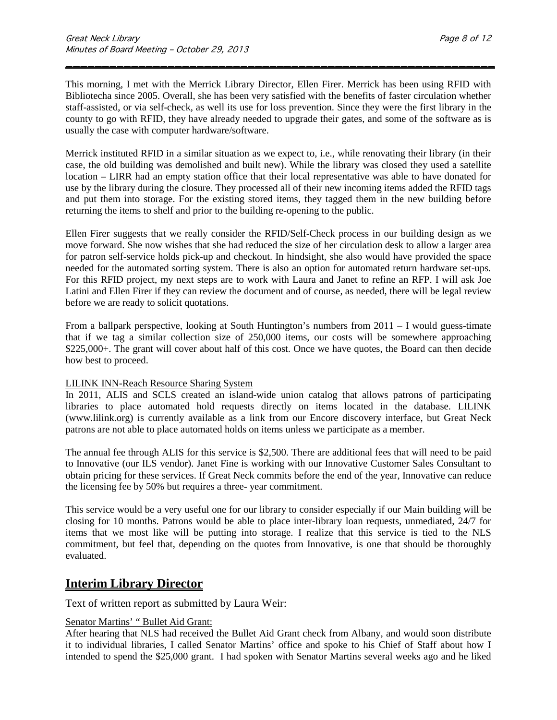This morning, I met with the Merrick Library Director, Ellen Firer. Merrick has been using RFID with Bibliotecha since 2005. Overall, she has been very satisfied with the benefits of faster circulation whether staff-assisted, or via self-check, as well its use for loss prevention. Since they were the first library in the county to go with RFID, they have already needed to upgrade their gates, and some of the software as is usually the case with computer hardware/software.

\_\_\_\_\_\_\_\_\_\_\_\_\_\_\_\_\_\_\_\_\_\_\_\_\_\_\_\_\_\_\_\_\_\_\_\_\_\_\_\_\_\_\_\_\_\_\_\_\_\_\_\_\_\_\_\_\_\_\_

Merrick instituted RFID in a similar situation as we expect to, i.e., while renovating their library (in their case, the old building was demolished and built new). While the library was closed they used a satellite location – LIRR had an empty station office that their local representative was able to have donated for use by the library during the closure. They processed all of their new incoming items added the RFID tags and put them into storage. For the existing stored items, they tagged them in the new building before returning the items to shelf and prior to the building re-opening to the public.

Ellen Firer suggests that we really consider the RFID/Self-Check process in our building design as we move forward. She now wishes that she had reduced the size of her circulation desk to allow a larger area for patron self-service holds pick-up and checkout. In hindsight, she also would have provided the space needed for the automated sorting system. There is also an option for automated return hardware set-ups. For this RFID project, my next steps are to work with Laura and Janet to refine an RFP. I will ask Joe Latini and Ellen Firer if they can review the document and of course, as needed, there will be legal review before we are ready to solicit quotations.

From a ballpark perspective, looking at South Huntington's numbers from 2011 – I would guess-timate that if we tag a similar collection size of 250,000 items, our costs will be somewhere approaching \$225,000+. The grant will cover about half of this cost. Once we have quotes, the Board can then decide how best to proceed.

#### LILINK INN-Reach Resource Sharing System

In 2011, ALIS and SCLS created an island-wide union catalog that allows patrons of participating libraries to place automated hold requests directly on items located in the database. LILINK (www.lilink.org) is currently available as a link from our Encore discovery interface, but Great Neck patrons are not able to place automated holds on items unless we participate as a member.

The annual fee through ALIS for this service is \$2,500. There are additional fees that will need to be paid to Innovative (our ILS vendor). Janet Fine is working with our Innovative Customer Sales Consultant to obtain pricing for these services. If Great Neck commits before the end of the year, Innovative can reduce the licensing fee by 50% but requires a three- year commitment.

This service would be a very useful one for our library to consider especially if our Main building will be closing for 10 months. Patrons would be able to place inter-library loan requests, unmediated, 24/7 for items that we most like will be putting into storage. I realize that this service is tied to the NLS commitment, but feel that, depending on the quotes from Innovative, is one that should be thoroughly evaluated.

# **Interim Library Director**

Text of written report as submitted by Laura Weir:

### Senator Martins' " Bullet Aid Grant:

After hearing that NLS had received the Bullet Aid Grant check from Albany, and would soon distribute it to individual libraries, I called Senator Martins' office and spoke to his Chief of Staff about how I intended to spend the \$25,000 grant. I had spoken with Senator Martins several weeks ago and he liked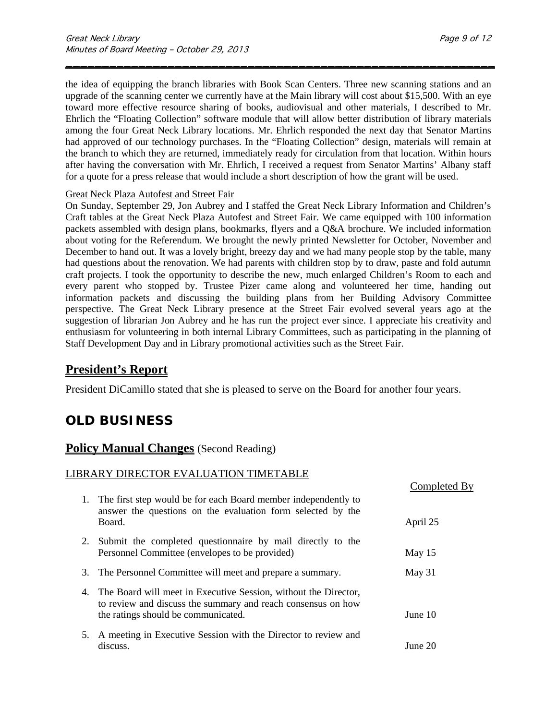the idea of equipping the branch libraries with Book Scan Centers. Three new scanning stations and an upgrade of the scanning center we currently have at the Main library will cost about \$15,500. With an eye toward more effective resource sharing of books, audiovisual and other materials, I described to Mr. Ehrlich the "Floating Collection" software module that will allow better distribution of library materials among the four Great Neck Library locations. Mr. Ehrlich responded the next day that Senator Martins had approved of our technology purchases. In the "Floating Collection" design, materials will remain at the branch to which they are returned, immediately ready for circulation from that location. Within hours after having the conversation with Mr. Ehrlich, I received a request from Senator Martins' Albany staff for a quote for a press release that would include a short description of how the grant will be used.

\_\_\_\_\_\_\_\_\_\_\_\_\_\_\_\_\_\_\_\_\_\_\_\_\_\_\_\_\_\_\_\_\_\_\_\_\_\_\_\_\_\_\_\_\_\_\_\_\_\_\_\_\_\_\_\_\_\_\_

#### Great Neck Plaza Autofest and Street Fair

On Sunday, September 29, Jon Aubrey and I staffed the Great Neck Library Information and Children's Craft tables at the Great Neck Plaza Autofest and Street Fair. We came equipped with 100 information packets assembled with design plans, bookmarks, flyers and a Q&A brochure. We included information about voting for the Referendum. We brought the newly printed Newsletter for October, November and December to hand out. It was a lovely bright, breezy day and we had many people stop by the table, many had questions about the renovation. We had parents with children stop by to draw, paste and fold autumn craft projects. I took the opportunity to describe the new, much enlarged Children's Room to each and every parent who stopped by. Trustee Pizer came along and volunteered her time, handing out information packets and discussing the building plans from her Building Advisory Committee perspective. The Great Neck Library presence at the Street Fair evolved several years ago at the suggestion of librarian Jon Aubrey and he has run the project ever since. I appreciate his creativity and enthusiasm for volunteering in both internal Library Committees, such as participating in the planning of Staff Development Day and in Library promotional activities such as the Street Fair.

## **President's Report**

President DiCamillo stated that she is pleased to serve on the Board for another four years.

# **OLD BUSINESS**

### **Policy Manual Changes** (Second Reading)

#### LIBRARY DIRECTOR EVALUATION TIMETABLE

|    |                                                                                                                                                                           | Completed By |
|----|---------------------------------------------------------------------------------------------------------------------------------------------------------------------------|--------------|
|    | 1. The first step would be for each Board member independently to<br>answer the questions on the evaluation form selected by the                                          |              |
|    | Board.                                                                                                                                                                    | April 25     |
|    | 2. Submit the completed questionnaire by mail directly to the<br>Personnel Committee (envelopes to be provided)                                                           | May 15       |
| 3. | The Personnel Committee will meet and prepare a summary.                                                                                                                  | May 31       |
|    | 4. The Board will meet in Executive Session, without the Director,<br>to review and discuss the summary and reach consensus on how<br>the ratings should be communicated. | June $10$    |
|    | 5. A meeting in Executive Session with the Director to review and<br>discuss.                                                                                             | June 20      |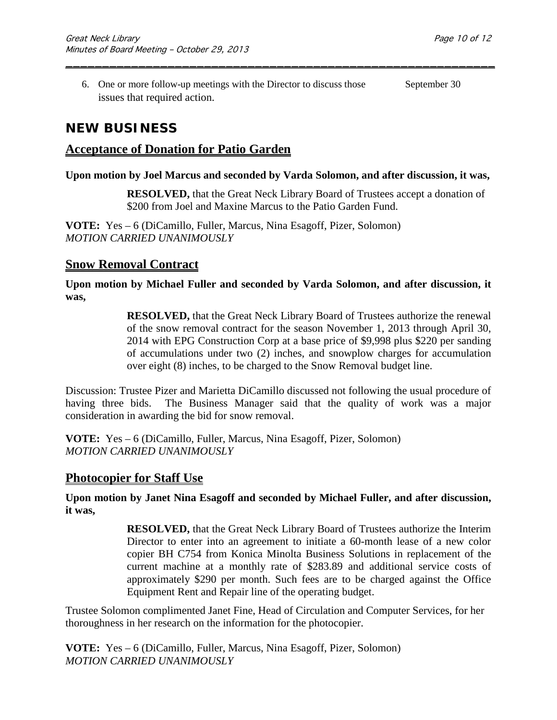6. One or more follow-up meetings with the Director to discuss those September 30 issues that required action.

\_\_\_\_\_\_\_\_\_\_\_\_\_\_\_\_\_\_\_\_\_\_\_\_\_\_\_\_\_\_\_\_\_\_\_\_\_\_\_\_\_\_\_\_\_\_\_\_\_\_\_\_\_\_\_\_\_\_\_

# **NEW BUSINESS**

## **Acceptance of Donation for Patio Garden**

### **Upon motion by Joel Marcus and seconded by Varda Solomon, and after discussion, it was,**

**RESOLVED,** that the Great Neck Library Board of Trustees accept a donation of \$200 from Joel and Maxine Marcus to the Patio Garden Fund.

**VOTE:** Yes – 6 (DiCamillo, Fuller, Marcus, Nina Esagoff, Pizer, Solomon) *MOTION CARRIED UNANIMOUSLY*

### **Snow Removal Contract**

**Upon motion by Michael Fuller and seconded by Varda Solomon, and after discussion, it was,**

> **RESOLVED,** that the Great Neck Library Board of Trustees authorize the renewal of the snow removal contract for the season November 1, 2013 through April 30, 2014 with EPG Construction Corp at a base price of \$9,998 plus \$220 per sanding of accumulations under two (2) inches, and snowplow charges for accumulation over eight (8) inches, to be charged to the Snow Removal budget line.

Discussion: Trustee Pizer and Marietta DiCamillo discussed not following the usual procedure of having three bids. The Business Manager said that the quality of work was a major consideration in awarding the bid for snow removal.

**VOTE:** Yes – 6 (DiCamillo, Fuller, Marcus, Nina Esagoff, Pizer, Solomon) *MOTION CARRIED UNANIMOUSLY*

### **Photocopier for Staff Use**

**Upon motion by Janet Nina Esagoff and seconded by Michael Fuller, and after discussion, it was,**

> **RESOLVED,** that the Great Neck Library Board of Trustees authorize the Interim Director to enter into an agreement to initiate a 60-month lease of a new color copier BH C754 from Konica Minolta Business Solutions in replacement of the current machine at a monthly rate of \$283.89 and additional service costs of approximately \$290 per month. Such fees are to be charged against the Office Equipment Rent and Repair line of the operating budget.

Trustee Solomon complimented Janet Fine, Head of Circulation and Computer Services, for her thoroughness in her research on the information for the photocopier.

**VOTE:** Yes – 6 (DiCamillo, Fuller, Marcus, Nina Esagoff, Pizer, Solomon) *MOTION CARRIED UNANIMOUSLY*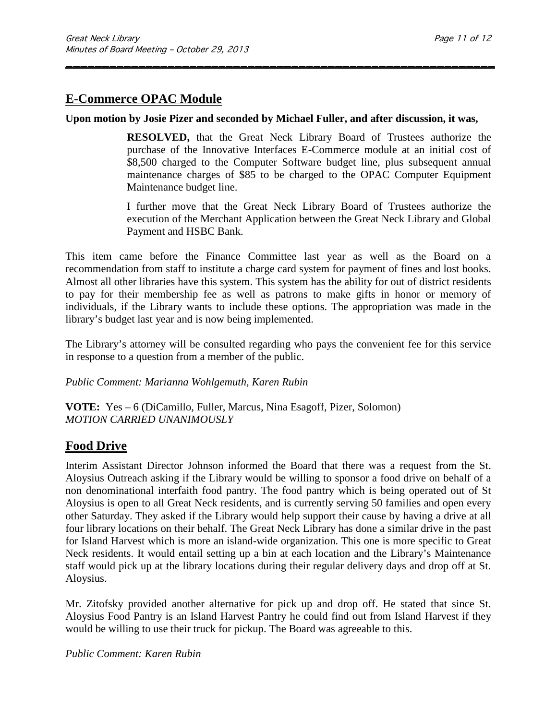# **E-Commerce OPAC Module**

### **Upon motion by Josie Pizer and seconded by Michael Fuller, and after discussion, it was,**

\_\_\_\_\_\_\_\_\_\_\_\_\_\_\_\_\_\_\_\_\_\_\_\_\_\_\_\_\_\_\_\_\_\_\_\_\_\_\_\_\_\_\_\_\_\_\_\_\_\_\_\_\_\_\_\_\_\_\_

**RESOLVED,** that the Great Neck Library Board of Trustees authorize the purchase of the Innovative Interfaces E-Commerce module at an initial cost of \$8,500 charged to the Computer Software budget line, plus subsequent annual maintenance charges of \$85 to be charged to the OPAC Computer Equipment Maintenance budget line.

I further move that the Great Neck Library Board of Trustees authorize the execution of the Merchant Application between the Great Neck Library and Global Payment and HSBC Bank.

This item came before the Finance Committee last year as well as the Board on a recommendation from staff to institute a charge card system for payment of fines and lost books. Almost all other libraries have this system. This system has the ability for out of district residents to pay for their membership fee as well as patrons to make gifts in honor or memory of individuals, if the Library wants to include these options. The appropriation was made in the library's budget last year and is now being implemented.

The Library's attorney will be consulted regarding who pays the convenient fee for this service in response to a question from a member of the public.

*Public Comment: Marianna Wohlgemuth, Karen Rubin*

**VOTE:** Yes – 6 (DiCamillo, Fuller, Marcus, Nina Esagoff, Pizer, Solomon) *MOTION CARRIED UNANIMOUSLY*

## **Food Drive**

Interim Assistant Director Johnson informed the Board that there was a request from the St. Aloysius Outreach asking if the Library would be willing to sponsor a food drive on behalf of a non denominational interfaith food pantry. The food pantry which is being operated out of St Aloysius is open to all Great Neck residents, and is currently serving 50 families and open every other Saturday. They asked if the Library would help support their cause by having a drive at all four library locations on their behalf. The Great Neck Library has done a similar drive in the past for Island Harvest which is more an island-wide organization. This one is more specific to Great Neck residents. It would entail setting up a bin at each location and the Library's Maintenance staff would pick up at the library locations during their regular delivery days and drop off at St. Aloysius.

Mr. Zitofsky provided another alternative for pick up and drop off. He stated that since St. Aloysius Food Pantry is an Island Harvest Pantry he could find out from Island Harvest if they would be willing to use their truck for pickup. The Board was agreeable to this.

*Public Comment: Karen Rubin*